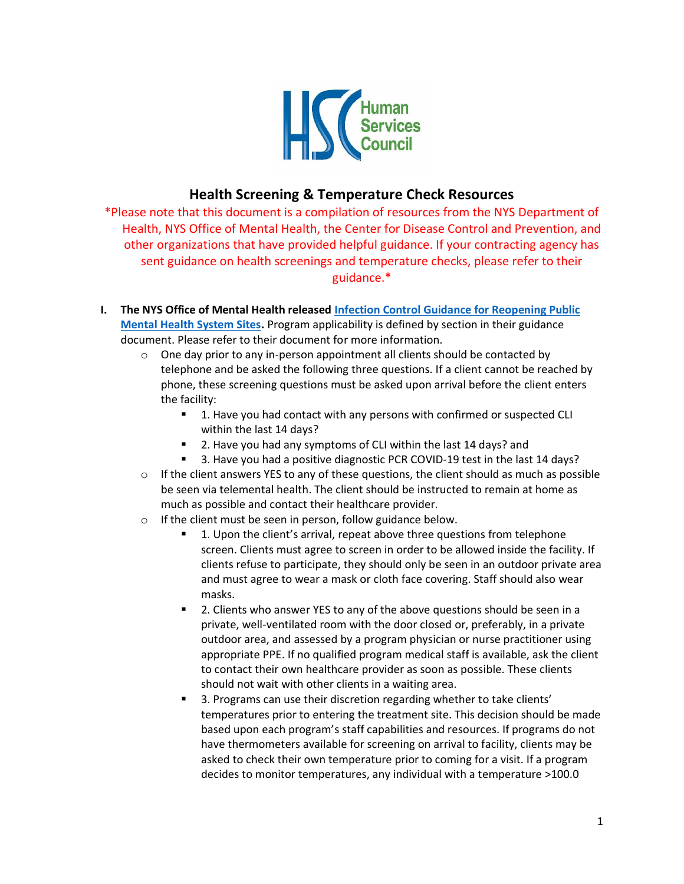

## **Health Screening & Temperature Check Resources**

\*Please note that this document is a compilation of resources from the NYS Department of Health, NYS Office of Mental Health, the Center for Disease Control and Prevention, and other organizations that have provided helpful guidance. If your contracting agency has sent guidance on health screenings and temperature checks, please refer to their guidance.\*

- **I. The NYS Office of Mental Health released [Infection Control Guidance for Reopening Public](https://omh.ny.gov/omhweb/guidance/covid-19-guidance-infection-control-public-mh-system-sites.pdf)  [Mental Health System Sites.](https://omh.ny.gov/omhweb/guidance/covid-19-guidance-infection-control-public-mh-system-sites.pdf)** Program applicability is defined by section in their guidance document. Please refer to their document for more information.
	- $\circ$  One day prior to any in-person appointment all clients should be contacted by telephone and be asked the following three questions. If a client cannot be reached by phone, these screening questions must be asked upon arrival before the client enters the facility:
		- 1. Have you had contact with any persons with confirmed or suspected CLI within the last 14 days?
		- 2. Have you had any symptoms of CLI within the last 14 days? and
		- 3. Have you had a positive diagnostic PCR COVID-19 test in the last 14 days?
	- $\circ$  If the client answers YES to any of these questions, the client should as much as possible be seen via telemental health. The client should be instructed to remain at home as much as possible and contact their healthcare provider.
	- o If the client must be seen in person, follow guidance below.
		- 1. Upon the client's arrival, repeat above three questions from telephone screen. Clients must agree to screen in order to be allowed inside the facility. If clients refuse to participate, they should only be seen in an outdoor private area and must agree to wear a mask or cloth face covering. Staff should also wear masks.
		- 2. Clients who answer YES to any of the above questions should be seen in a private, well-ventilated room with the door closed or, preferably, in a private outdoor area, and assessed by a program physician or nurse practitioner using appropriate PPE. If no qualified program medical staff is available, ask the client to contact their own healthcare provider as soon as possible. These clients should not wait with other clients in a waiting area.
		- 3. Programs can use their discretion regarding whether to take clients' temperatures prior to entering the treatment site. This decision should be made based upon each program's staff capabilities and resources. If programs do not have thermometers available for screening on arrival to facility, clients may be asked to check their own temperature prior to coming for a visit. If a program decides to monitor temperatures, any individual with a temperature >100.0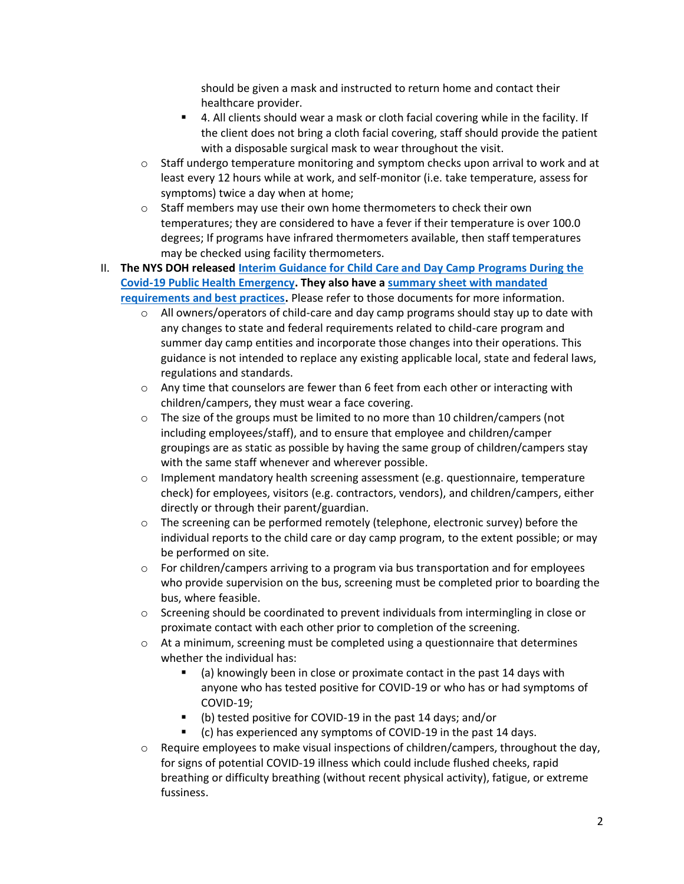should be given a mask and instructed to return home and contact their healthcare provider.

- 4. All clients should wear a mask or cloth facial covering while in the facility. If the client does not bring a cloth facial covering, staff should provide the patient with a disposable surgical mask to wear throughout the visit.
- $\circ$  Staff undergo temperature monitoring and symptom checks upon arrival to work and at least every 12 hours while at work, and self-monitor (i.e. take temperature, assess for symptoms) twice a day when at home;
- o Staff members may use their own home thermometers to check their own temperatures; they are considered to have a fever if their temperature is over 100.0 degrees; If programs have infrared thermometers available, then staff temperatures may be checked using facility thermometers.
- II. **The NYS DOH released [Interim Guidance for Child Care and Day Camp Programs During the](https://www.governor.ny.gov/sites/governor.ny.gov/files/atoms/files/Child_Care_Daycamps_Detailed_Guidelines.pdf)  [Covid-19 Public Health Emergency.](https://www.governor.ny.gov/sites/governor.ny.gov/files/atoms/files/Child_Care_Daycamps_Detailed_Guidelines.pdf) They also have a [summary sheet with mandated](https://www.governor.ny.gov/sites/governor.ny.gov/files/atoms/files/Childcare_and_Summer_Camps_Summary.pdf)  [requirements and best practices.](https://www.governor.ny.gov/sites/governor.ny.gov/files/atoms/files/Childcare_and_Summer_Camps_Summary.pdf)** Please refer to those documents for more information.
	- $\circ$  All owners/operators of child-care and day camp programs should stay up to date with any changes to state and federal requirements related to child-care program and summer day camp entities and incorporate those changes into their operations. This guidance is not intended to replace any existing applicable local, state and federal laws, regulations and standards.
	- $\circ$  Any time that counselors are fewer than 6 feet from each other or interacting with children/campers, they must wear a face covering.
	- $\circ$  The size of the groups must be limited to no more than 10 children/campers (not including employees/staff), and to ensure that employee and children/camper groupings are as static as possible by having the same group of children/campers stay with the same staff whenever and wherever possible.
	- $\circ$  Implement mandatory health screening assessment (e.g. questionnaire, temperature check) for employees, visitors (e.g. contractors, vendors), and children/campers, either directly or through their parent/guardian.
	- $\circ$  The screening can be performed remotely (telephone, electronic survey) before the individual reports to the child care or day camp program, to the extent possible; or may be performed on site.
	- $\circ$  For children/campers arriving to a program via bus transportation and for employees who provide supervision on the bus, screening must be completed prior to boarding the bus, where feasible.
	- o Screening should be coordinated to prevent individuals from intermingling in close or proximate contact with each other prior to completion of the screening.
	- $\circ$  At a minimum, screening must be completed using a questionnaire that determines whether the individual has:
		- (a) knowingly been in close or proximate contact in the past 14 days with anyone who has tested positive for COVID-19 or who has or had symptoms of COVID-19;
		- (b) tested positive for COVID-19 in the past 14 days; and/or
		- (c) has experienced any symptoms of COVID-19 in the past 14 days.
	- $\circ$  Require employees to make visual inspections of children/campers, throughout the day, for signs of potential COVID-19 illness which could include flushed cheeks, rapid breathing or difficulty breathing (without recent physical activity), fatigue, or extreme fussiness.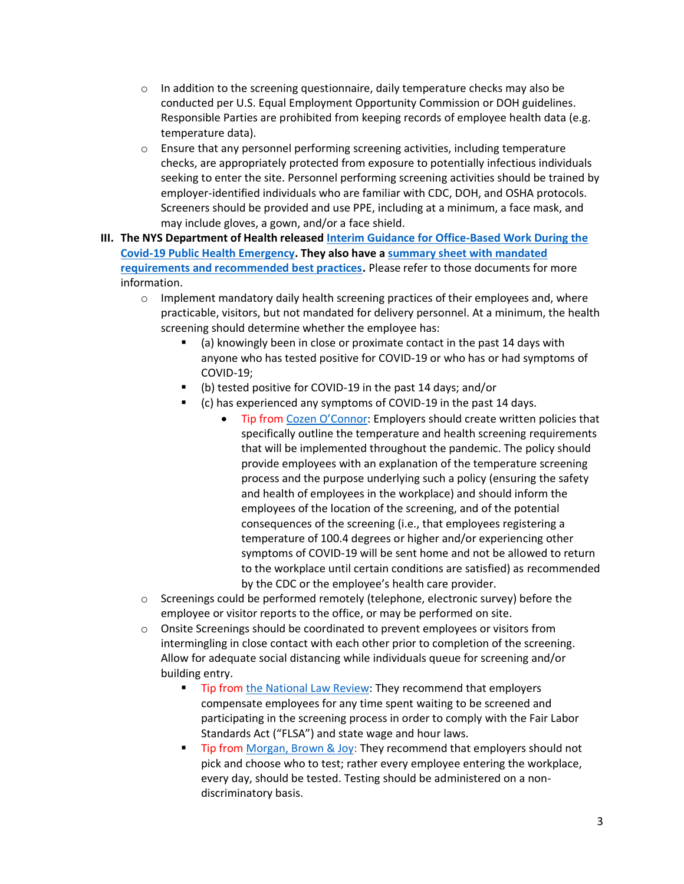- $\circ$  In addition to the screening questionnaire, daily temperature checks may also be conducted per U.S. Equal Employment Opportunity Commission or DOH guidelines. Responsible Parties are prohibited from keeping records of employee health data (e.g. temperature data).
- $\circ$  Ensure that any personnel performing screening activities, including temperature checks, are appropriately protected from exposure to potentially infectious individuals seeking to enter the site. Personnel performing screening activities should be trained by employer-identified individuals who are familiar with CDC, DOH, and OSHA protocols. Screeners should be provided and use PPE, including at a minimum, a face mask, and may include gloves, a gown, and/or a face shield.
- **III. The NYS Department of Health release[d Interim Guidance for Office-Based Work During the](https://www.governor.ny.gov/sites/governor.ny.gov/files/atoms/files/offices-interim-guidance.pdf)  [Covid-19 Public Health Emergency.](https://www.governor.ny.gov/sites/governor.ny.gov/files/atoms/files/offices-interim-guidance.pdf) They also have a [summary sheet with mandated](https://www.governor.ny.gov/sites/governor.ny.gov/files/atoms/files/OfficesSummaryGuidelines.pdf)  [requirements and recommended best practices.](https://www.governor.ny.gov/sites/governor.ny.gov/files/atoms/files/OfficesSummaryGuidelines.pdf)** Please refer to those documents for more information.
	- $\circ$  Implement mandatory daily health screening practices of their employees and, where practicable, visitors, but not mandated for delivery personnel. At a minimum, the health screening should determine whether the employee has:
		- (a) knowingly been in close or proximate contact in the past 14 days with anyone who has tested positive for COVID-19 or who has or had symptoms of COVID-19;
		- (b) tested positive for COVID-19 in the past 14 days; and/or
			- (c) has experienced any symptoms of COVID-19 in the past 14 days.
				- Tip from [Cozen O'Connor](https://www.cozen.com/news-resources/publications/2020/potential-pitfalls-of-temperature-screenings): Employers should create written policies that specifically outline the temperature and health screening requirements that will be implemented throughout the pandemic. The policy should provide employees with an explanation of the temperature screening process and the purpose underlying such a policy (ensuring the safety and health of employees in the workplace) and should inform the employees of the location of the screening, and of the potential consequences of the screening (i.e., that employees registering a temperature of 100.4 degrees or higher and/or experiencing other symptoms of COVID-19 will be sent home and not be allowed to return to the workplace until certain conditions are satisfied) as recommended by the CDC or the employee's health care provider.
	- $\circ$  Screenings could be performed remotely (telephone, electronic survey) before the employee or visitor reports to the office, or may be performed on site.
	- $\circ$  Onsite Screenings should be coordinated to prevent employees or visitors from intermingling in close contact with each other prior to completion of the screening. Allow for adequate social distancing while individuals queue for screening and/or building entry.
		- **EXECT:** Tip from [the National Law Review:](https://www.natlawreview.com/article/temperature-screening-new-guidance-cdc-faqs-and-best-practices) They recommend that employers compensate employees for any time spent waiting to be screened and participating in the screening process in order to comply with the Fair Labor Standards Act ("FLSA") and state wage and hour laws.
		- Tip from [Morgan, Brown & Joy:](https://www.morganbrown.com/legal-update/client-alert-what-employers-should-know-about-employee-temperature-checks/) They recommend that employers should not pick and choose who to test; rather every employee entering the workplace, every day, should be tested. Testing should be administered on a nondiscriminatory basis.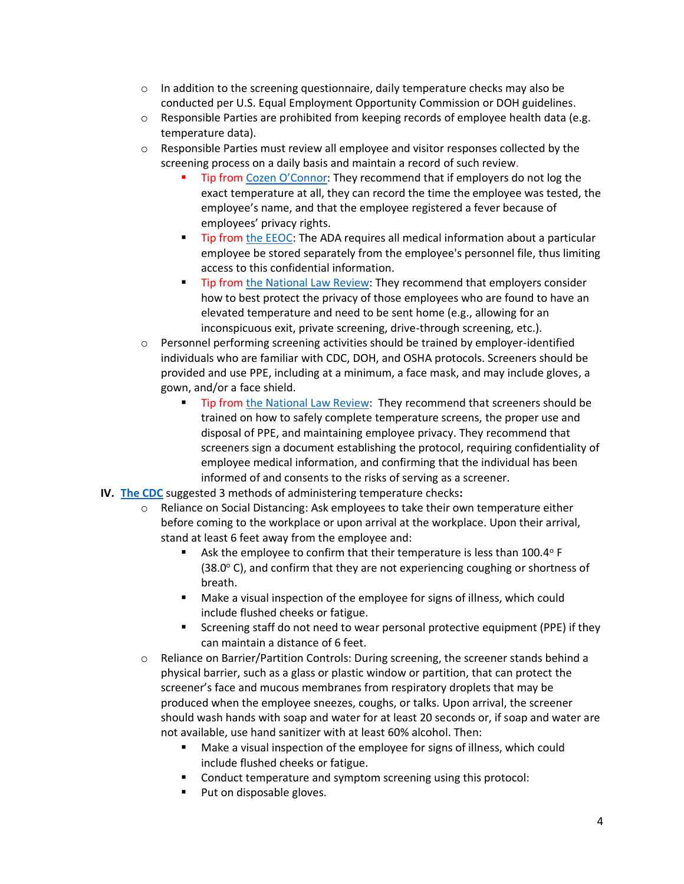- $\circ$  In addition to the screening questionnaire, daily temperature checks may also be conducted per U.S. Equal Employment Opportunity Commission or DOH guidelines.
- $\circ$  Responsible Parties are prohibited from keeping records of employee health data (e.g. temperature data).
- $\circ$  Responsible Parties must review all employee and visitor responses collected by the screening process on a daily basis and maintain a record of such review.
	- Tip from [Cozen O'Con](https://www.cozen.com/news-resources/publications/2020/potential-pitfalls-of-temperature-screenings)nor: They recommend that if employers do not log the exact temperature at all, they can record the time the employee was tested, the employee's name, and that the employee registered a fever because of employees' privacy rights.
	- Tip from [the EEOC:](https://www.eeoc.gov/wysk/what-you-should-know-about-covid-19-and-ada-rehabilitation-act-and-other-eeo-laws?utm_content=&utm_medium=email&utm_name=&utm_source=govdelivery&utm_term=) The ADA requires all medical information about a particular employee be stored separately from the employee's personnel file, thus limiting access to this confidential information.
	- Tip from [the National Law](https://www.natlawreview.com/article/temperature-screening-new-guidance-cdc-faqs-and-best-practices) Review: They recommend that employers consider how to best protect the privacy of those employees who are found to have an elevated temperature and need to be sent home (e.g., allowing for an inconspicuous exit, private screening, drive-through screening, etc.).
- $\circ$  Personnel performing screening activities should be trained by employer-identified individuals who are familiar with CDC, DOH, and OSHA protocols. Screeners should be provided and use PPE, including at a minimum, a face mask, and may include gloves, a gown, and/or a face shield.
	- Tip from [the National Law Review:](https://www.natlawreview.com/article/temperature-screening-new-guidance-cdc-faqs-and-best-practices) They recommend that screeners should be trained on how to safely complete temperature screens, the proper use and disposal of PPE, and maintaining employee privacy. They recommend that screeners sign a document establishing the protocol, requiring confidentiality of employee medical information, and confirming that the individual has been informed of and consents to the risks of serving as a screener.
- **IV. [The CDC](https://www.cdc.gov/coronavirus/2019-ncov/community/general-business-faq.html)** suggested 3 methods of administering temperature checks**:** 
	- $\circ$  Reliance on Social Distancing: Ask employees to take their own temperature either before coming to the workplace or upon arrival at the workplace. Upon their arrival, stand at least 6 feet away from the employee and:
		- Ask the employee to confirm that their temperature is less than 100.4° F  $(38.0^{\circ}$  C), and confirm that they are not experiencing coughing or shortness of breath.
		- Make a visual inspection of the employee for signs of illness, which could include flushed cheeks or fatigue.
		- Screening staff do not need to wear personal protective equipment (PPE) if they can maintain a distance of 6 feet.
	- o Reliance on Barrier/Partition Controls: During screening, the screener stands behind a physical barrier, such as a glass or plastic window or partition, that can protect the screener's face and mucous membranes from respiratory droplets that may be produced when the employee sneezes, coughs, or talks. Upon arrival, the screener should wash hands with soap and water for at least 20 seconds or, if soap and water are not available, use hand sanitizer with at least 60% alcohol. Then:
		- Make a visual inspection of the employee for signs of illness, which could include flushed cheeks or fatigue.
		- Conduct temperature and symptom screening using this protocol:
		- Put on disposable gloves.